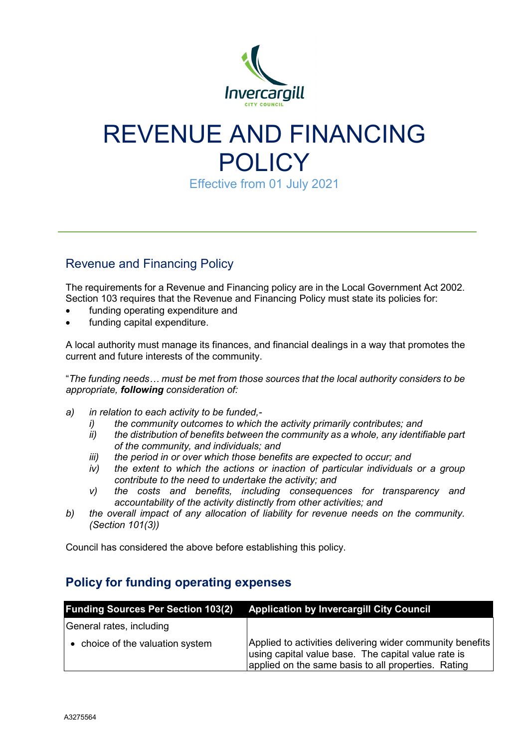

# REVENUE AND FINANCING POLICY

Effective from 01 July 2021

## Revenue and Financing Policy

The requirements for a Revenue and Financing policy are in the Local Government Act 2002. Section 103 requires that the Revenue and Financing Policy must state its policies for:

- funding operating expenditure and
- funding capital expenditure.

A local authority must manage its finances, and financial dealings in a way that promotes the current and future interests of the community.

"*The funding needs… must be met from those sources that the local authority considers to be appropriate, following consideration of:*

- *a) in relation to each activity to be funded,*
	- *i) the community outcomes to which the activity primarily contributes; and*
	- *ii) the distribution of benefits between the community as a whole, any identifiable part of the community, and individuals; and*
	- *iii) the period in or over which those benefits are expected to occur; and*
	- *iv) the extent to which the actions or inaction of particular individuals or a group contribute to the need to undertake the activity; and*
	- *v) the costs and benefits, including consequences for transparency and accountability of the activity distinctly from other activities; and*
- *b) the overall impact of any allocation of liability for revenue needs on the community. (Section 101(3))*

Council has considered the above before establishing this policy.

### **Policy for funding operating expenses**

|                                  | <b>Funding Sources Per Section 103(2) Application by Invercargill City Council</b>                                                                                      |
|----------------------------------|-------------------------------------------------------------------------------------------------------------------------------------------------------------------------|
| General rates, including         |                                                                                                                                                                         |
| • choice of the valuation system | Applied to activities delivering wider community benefits<br>using capital value base. The capital value rate is<br>applied on the same basis to all properties. Rating |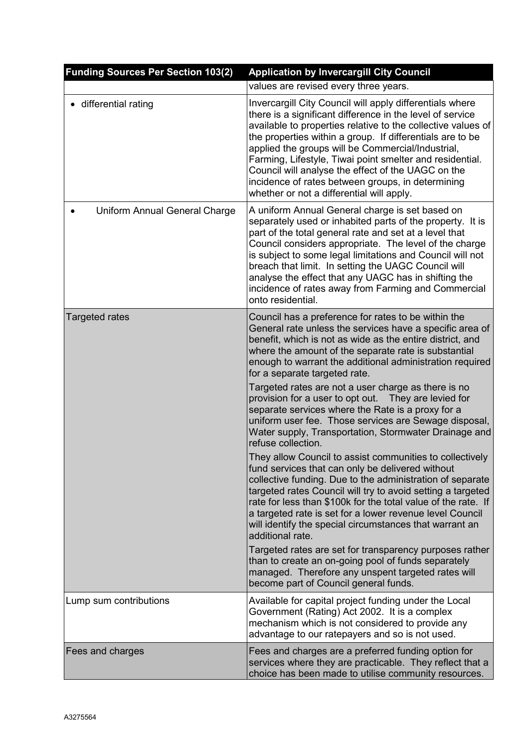| <b>Funding Sources Per Section 103(2)</b> | <b>Application by Invercargill City Council</b>                                                                                                                                                                                                                                                                                                                                                                                                                                                                             |
|-------------------------------------------|-----------------------------------------------------------------------------------------------------------------------------------------------------------------------------------------------------------------------------------------------------------------------------------------------------------------------------------------------------------------------------------------------------------------------------------------------------------------------------------------------------------------------------|
|                                           | values are revised every three years.                                                                                                                                                                                                                                                                                                                                                                                                                                                                                       |
| differential rating                       | Invercargill City Council will apply differentials where<br>there is a significant difference in the level of service<br>available to properties relative to the collective values of<br>the properties within a group. If differentials are to be<br>applied the groups will be Commercial/Industrial,<br>Farming, Lifestyle, Tiwai point smelter and residential.<br>Council will analyse the effect of the UAGC on the<br>incidence of rates between groups, in determining<br>whether or not a differential will apply. |
| Uniform Annual General Charge             | A uniform Annual General charge is set based on<br>separately used or inhabited parts of the property. It is<br>part of the total general rate and set at a level that<br>Council considers appropriate. The level of the charge<br>is subject to some legal limitations and Council will not<br>breach that limit. In setting the UAGC Council will<br>analyse the effect that any UAGC has in shifting the<br>incidence of rates away from Farming and Commercial<br>onto residential.                                    |
| <b>Targeted rates</b>                     | Council has a preference for rates to be within the<br>General rate unless the services have a specific area of<br>benefit, which is not as wide as the entire district, and<br>where the amount of the separate rate is substantial<br>enough to warrant the additional administration required<br>for a separate targeted rate.                                                                                                                                                                                           |
|                                           | Targeted rates are not a user charge as there is no<br>provision for a user to opt out.  They are levied for<br>separate services where the Rate is a proxy for a<br>uniform user fee. Those services are Sewage disposal,<br>Water supply, Transportation, Stormwater Drainage and<br>refuse collection.                                                                                                                                                                                                                   |
|                                           | They allow Council to assist communities to collectively<br>fund services that can only be delivered without<br>collective funding. Due to the administration of separate<br>targeted rates Council will try to avoid setting a targeted<br>rate for less than \$100k for the total value of the rate. If<br>a targeted rate is set for a lower revenue level Council<br>will identify the special circumstances that warrant an<br>additional rate.                                                                        |
|                                           | Targeted rates are set for transparency purposes rather<br>than to create an on-going pool of funds separately<br>managed. Therefore any unspent targeted rates will<br>become part of Council general funds.                                                                                                                                                                                                                                                                                                               |
| Lump sum contributions                    | Available for capital project funding under the Local<br>Government (Rating) Act 2002. It is a complex<br>mechanism which is not considered to provide any<br>advantage to our ratepayers and so is not used.                                                                                                                                                                                                                                                                                                               |
| Fees and charges                          | Fees and charges are a preferred funding option for<br>services where they are practicable. They reflect that a<br>choice has been made to utilise community resources.                                                                                                                                                                                                                                                                                                                                                     |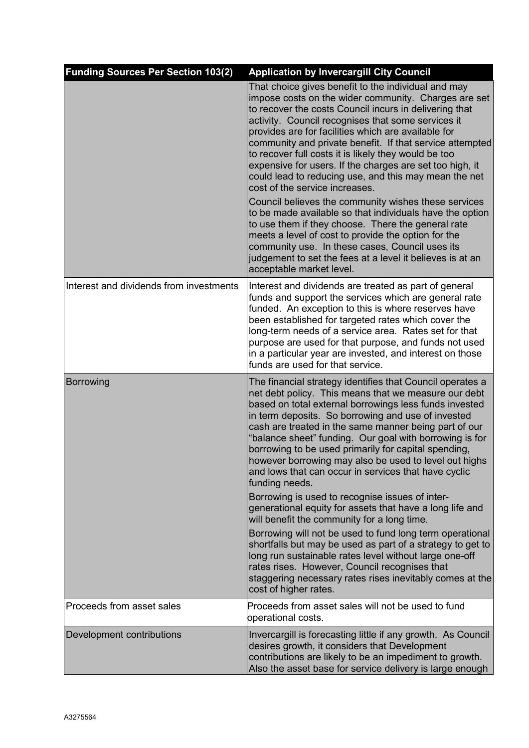| <b>Funding Sources Per Section 103(2)</b> | <b>Application by Invercargill City Council</b>                                                                                                                                                                                                                                                                                                                                                                                                                                                                                                                                                                                                                                                                                                                                                                                                                                                                                            |
|-------------------------------------------|--------------------------------------------------------------------------------------------------------------------------------------------------------------------------------------------------------------------------------------------------------------------------------------------------------------------------------------------------------------------------------------------------------------------------------------------------------------------------------------------------------------------------------------------------------------------------------------------------------------------------------------------------------------------------------------------------------------------------------------------------------------------------------------------------------------------------------------------------------------------------------------------------------------------------------------------|
|                                           | That choice gives benefit to the individual and may<br>impose costs on the wider community. Charges are set<br>to recover the costs Council incurs in delivering that<br>activity. Council recognises that some services it<br>provides are for facilities which are available for<br>community and private benefit. If that service attempted<br>to recover full costs it is likely they would be too<br>expensive for users. If the charges are set too high, it<br>could lead to reducing use, and this may mean the net<br>cost of the service increases.<br>Council believes the community wishes these services<br>to be made available so that individuals have the option<br>to use them if they choose. There the general rate<br>meets a level of cost to provide the option for the<br>community use. In these cases, Council uses its<br>judgement to set the fees at a level it believes is at an<br>acceptable market level. |
| Interest and dividends from investments   | Interest and dividends are treated as part of general<br>funds and support the services which are general rate<br>funded. An exception to this is where reserves have<br>been established for targeted rates which cover the<br>long-term needs of a service area. Rates set for that<br>purpose are used for that purpose, and funds not used<br>in a particular year are invested, and interest on those<br>funds are used for that service.                                                                                                                                                                                                                                                                                                                                                                                                                                                                                             |
| Borrowing                                 | The financial strategy identifies that Council operates a<br>net debt policy. This means that we measure our debt<br>based on total external borrowings less funds invested<br>in term deposits. So borrowing and use of invested<br>cash are treated in the same manner being part of our<br>"balance sheet" funding. Our goal with borrowing is for<br>borrowing to be used primarily for capital spending,<br>however borrowing may also be used to level out highs<br>and lows that can occur in services that have cyclic<br>funding needs.<br>Borrowing is used to recognise issues of inter-<br>generational equity for assets that have a long life and<br>will benefit the community for a long time.<br>Borrowing will not be used to fund long term operational<br>shortfalls but may be used as part of a strategy to get to                                                                                                   |
|                                           | long run sustainable rates level without large one-off<br>rates rises. However, Council recognises that<br>staggering necessary rates rises inevitably comes at the<br>cost of higher rates.                                                                                                                                                                                                                                                                                                                                                                                                                                                                                                                                                                                                                                                                                                                                               |
| Proceeds from asset sales                 | Proceeds from asset sales will not be used to fund<br>operational costs.                                                                                                                                                                                                                                                                                                                                                                                                                                                                                                                                                                                                                                                                                                                                                                                                                                                                   |
| Development contributions                 | Invercargill is forecasting little if any growth. As Council<br>desires growth, it considers that Development<br>contributions are likely to be an impediment to growth.<br>Also the asset base for service delivery is large enough                                                                                                                                                                                                                                                                                                                                                                                                                                                                                                                                                                                                                                                                                                       |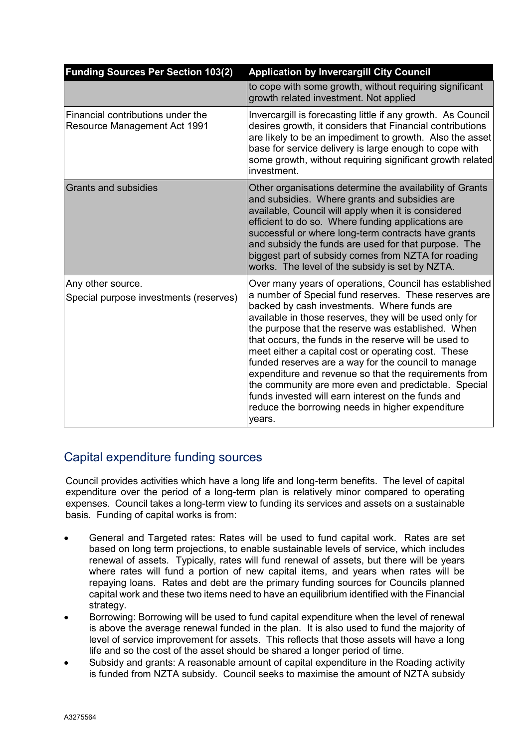| <b>Funding Sources Per Section 103(2)</b>                                | <b>Application by Invercargill City Council</b>                                                                                                                                                                                                                                                                                                                                                                                                                                                                                                                                                                                                                                             |
|--------------------------------------------------------------------------|---------------------------------------------------------------------------------------------------------------------------------------------------------------------------------------------------------------------------------------------------------------------------------------------------------------------------------------------------------------------------------------------------------------------------------------------------------------------------------------------------------------------------------------------------------------------------------------------------------------------------------------------------------------------------------------------|
|                                                                          | to cope with some growth, without requiring significant<br>growth related investment. Not applied                                                                                                                                                                                                                                                                                                                                                                                                                                                                                                                                                                                           |
| Financial contributions under the<br><b>Resource Management Act 1991</b> | Invercargill is forecasting little if any growth. As Council<br>desires growth, it considers that Financial contributions<br>are likely to be an impediment to growth. Also the asset<br>base for service delivery is large enough to cope with<br>some growth, without requiring significant growth related<br>investment.                                                                                                                                                                                                                                                                                                                                                                 |
| <b>Grants and subsidies</b>                                              | Other organisations determine the availability of Grants<br>and subsidies. Where grants and subsidies are<br>available, Council will apply when it is considered<br>efficient to do so. Where funding applications are<br>successful or where long-term contracts have grants<br>and subsidy the funds are used for that purpose. The<br>biggest part of subsidy comes from NZTA for roading<br>works. The level of the subsidy is set by NZTA.                                                                                                                                                                                                                                             |
| Any other source.<br>Special purpose investments (reserves)              | Over many years of operations, Council has established<br>a number of Special fund reserves. These reserves are<br>backed by cash investments. Where funds are<br>available in those reserves, they will be used only for<br>the purpose that the reserve was established. When<br>that occurs, the funds in the reserve will be used to<br>meet either a capital cost or operating cost. These<br>funded reserves are a way for the council to manage<br>expenditure and revenue so that the requirements from<br>the community are more even and predictable. Special<br>funds invested will earn interest on the funds and<br>reduce the borrowing needs in higher expenditure<br>years. |

### Capital expenditure funding sources

Council provides activities which have a long life and long-term benefits. The level of capital expenditure over the period of a long-term plan is relatively minor compared to operating expenses. Council takes a long-term view to funding its services and assets on a sustainable basis. Funding of capital works is from:

- General and Targeted rates: Rates will be used to fund capital work. Rates are set based on long term projections, to enable sustainable levels of service, which includes renewal of assets. Typically, rates will fund renewal of assets, but there will be years where rates will fund a portion of new capital items, and years when rates will be repaying loans. Rates and debt are the primary funding sources for Councils planned capital work and these two items need to have an equilibrium identified with the Financial strategy.
- Borrowing: Borrowing will be used to fund capital expenditure when the level of renewal is above the average renewal funded in the plan. It is also used to fund the majority of level of service improvement for assets. This reflects that those assets will have a long life and so the cost of the asset should be shared a longer period of time.
- Subsidy and grants: A reasonable amount of capital expenditure in the Roading activity is funded from NZTA subsidy. Council seeks to maximise the amount of NZTA subsidy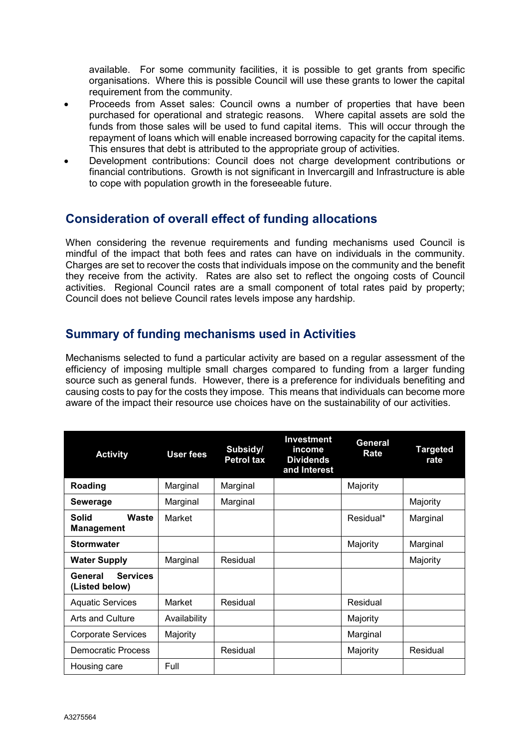available. For some community facilities, it is possible to get grants from specific organisations. Where this is possible Council will use these grants to lower the capital requirement from the community.

- Proceeds from Asset sales: Council owns a number of properties that have been purchased for operational and strategic reasons. Where capital assets are sold the funds from those sales will be used to fund capital items. This will occur through the repayment of loans which will enable increased borrowing capacity for the capital items. This ensures that debt is attributed to the appropriate group of activities.
- Development contributions: Council does not charge development contributions or financial contributions. Growth is not significant in Invercargill and Infrastructure is able to cope with population growth in the foreseeable future.

### **Consideration of overall effect of funding allocations**

When considering the revenue requirements and funding mechanisms used Council is mindful of the impact that both fees and rates can have on individuals in the community. Charges are set to recover the costs that individuals impose on the community and the benefit they receive from the activity. Rates are also set to reflect the ongoing costs of Council activities. Regional Council rates are a small component of total rates paid by property; Council does not believe Council rates levels impose any hardship.

#### **Summary of funding mechanisms used in Activities**

Mechanisms selected to fund a particular activity are based on a regular assessment of the efficiency of imposing multiple small charges compared to funding from a larger funding source such as general funds. However, there is a preference for individuals benefiting and causing costs to pay for the costs they impose. This means that individuals can become more aware of the impact their resource use choices have on the sustainability of our activities.

| <b>Activity</b>                              | <b>User fees</b> | Subsidy/<br><b>Petrol tax</b> | <b>Investment</b><br>income<br><b>Dividends</b><br>and Interest | General<br>Rate | Targeted<br>rate |
|----------------------------------------------|------------------|-------------------------------|-----------------------------------------------------------------|-----------------|------------------|
| Roading                                      | Marginal         | Marginal                      |                                                                 | Majority        |                  |
| <b>Sewerage</b>                              | Marginal         | Marginal                      |                                                                 |                 | Majority         |
| Waste<br><b>Solid</b><br><b>Management</b>   | Market           |                               |                                                                 | Residual*       | Marginal         |
| <b>Stormwater</b>                            |                  |                               |                                                                 | Majority        | Marginal         |
| <b>Water Supply</b>                          | Marginal         | Residual                      |                                                                 |                 | Majority         |
| <b>Services</b><br>General<br>(Listed below) |                  |                               |                                                                 |                 |                  |
| <b>Aquatic Services</b>                      | Market           | Residual                      |                                                                 | Residual        |                  |
| Arts and Culture                             | Availability     |                               |                                                                 | Majority        |                  |
| <b>Corporate Services</b>                    | Majority         |                               |                                                                 | Marginal        |                  |
| <b>Democratic Process</b>                    |                  | Residual                      |                                                                 | Majority        | Residual         |
| Housing care                                 | Full             |                               |                                                                 |                 |                  |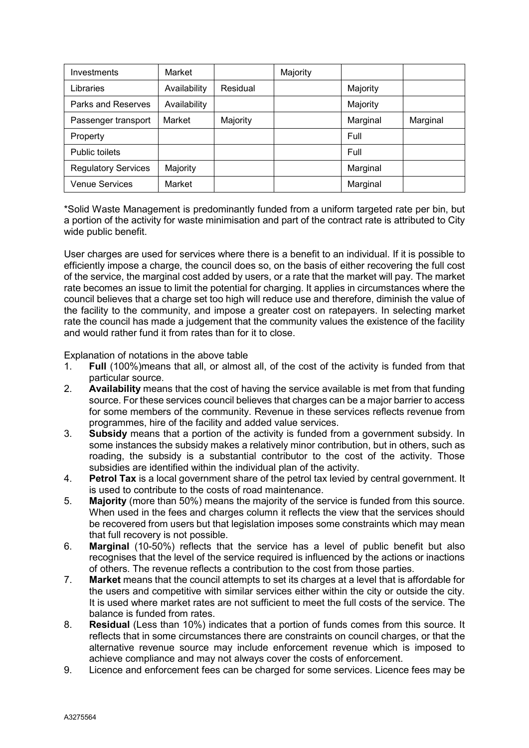| Investments                | Market       |          | Majority |          |          |
|----------------------------|--------------|----------|----------|----------|----------|
| Libraries                  | Availability | Residual |          | Majority |          |
| Parks and Reserves         | Availability |          |          | Majority |          |
| Passenger transport        | Market       | Majority |          | Marginal | Marginal |
| Property                   |              |          |          | Full     |          |
| Public toilets             |              |          |          | Full     |          |
| <b>Regulatory Services</b> | Majority     |          |          | Marginal |          |
| <b>Venue Services</b>      | Market       |          |          | Marginal |          |

\*Solid Waste Management is predominantly funded from a uniform targeted rate per bin, but a portion of the activity for waste minimisation and part of the contract rate is attributed to City wide public benefit.

User charges are used for services where there is a benefit to an individual. If it is possible to efficiently impose a charge, the council does so, on the basis of either recovering the full cost of the service, the marginal cost added by users, or a rate that the market will pay. The market rate becomes an issue to limit the potential for charging. It applies in circumstances where the council believes that a charge set too high will reduce use and therefore, diminish the value of the facility to the community, and impose a greater cost on ratepayers. In selecting market rate the council has made a judgement that the community values the existence of the facility and would rather fund it from rates than for it to close.

Explanation of notations in the above table

- 1. **Full** (100%)means that all, or almost all, of the cost of the activity is funded from that particular source.
- 2. **Availability** means that the cost of having the service available is met from that funding source. For these services council believes that charges can be a major barrier to access for some members of the community. Revenue in these services reflects revenue from programmes, hire of the facility and added value services.
- 3. **Subsidy** means that a portion of the activity is funded from a government subsidy. In some instances the subsidy makes a relatively minor contribution, but in others, such as roading, the subsidy is a substantial contributor to the cost of the activity. Those subsidies are identified within the individual plan of the activity.
- 4. **Petrol Tax** is a local government share of the petrol tax levied by central government. It is used to contribute to the costs of road maintenance.
- 5. **Majority** (more than 50%) means the majority of the service is funded from this source. When used in the fees and charges column it reflects the view that the services should be recovered from users but that legislation imposes some constraints which may mean that full recovery is not possible.
- 6. **Marginal** (10-50%) reflects that the service has a level of public benefit but also recognises that the level of the service required is influenced by the actions or inactions of others. The revenue reflects a contribution to the cost from those parties.
- 7. **Market** means that the council attempts to set its charges at a level that is affordable for the users and competitive with similar services either within the city or outside the city. It is used where market rates are not sufficient to meet the full costs of the service. The balance is funded from rates.
- 8. **Residual** (Less than 10%) indicates that a portion of funds comes from this source. It reflects that in some circumstances there are constraints on council charges, or that the alternative revenue source may include enforcement revenue which is imposed to achieve compliance and may not always cover the costs of enforcement.
- 9. Licence and enforcement fees can be charged for some services. Licence fees may be